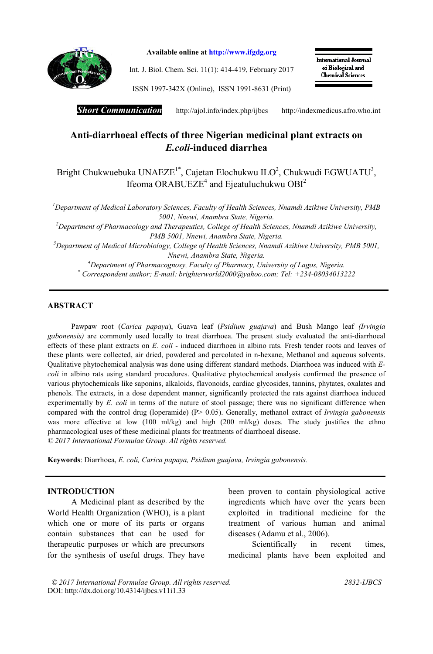

Available online at http://www.ifgdg.org

Int. J. Biol. Chem. Sci. 11(1): 414-419, February 2017

International Journal of Biological and **Chemical Sciences** 

ISSN 1997-342X (Online), ISSN 1991-8631 (Print)

*Short Communication* http://ajol.info/index.php/ijbcshttp://indexmedicus.afro.who.int

# Anti-diarrhoeal effects of three Nigerian medicinal plant extracts on *E.coli*-induced diarrhea

Bright Chukwuebuka UNAEZE<sup>1\*</sup>, Cajetan Elochukwu ILO<sup>2</sup>, Chukwudi EGWUATU<sup>3</sup>, Ifeoma ORABUEZE<sup>4</sup> and Ejeatuluchukwu OBI<sup>2</sup>

*1 Department of Medical Laboratory Sciences, Faculty of Health Sciences, Nnamdi Azikiwe University, PMB 5001, Nnewi, Anambra State, Nigeria.*

*2 Department of Pharmacology and Therapeutics, College of Health Sciences, Nnamdi Azikiwe University, PMB 5001, Nnewi, Anambra State, Nigeria.*

*3 Department of Medical Microbiology, College of Health Sciences, Nnamdi Azikiwe University, PMB 5001, Nnewi, Anambra State, Nigeria.*

*4 Department of Pharmacognosy, Faculty of Pharmacy, University of Lagos, Nigeria.*

*\* Correspondent author; E-mail: brighterworld2000@yahoo.com; Tel: +234-08034013222*

## ABSTRACT

Pawpaw root (*Carica papaya*), Guava leaf (*Psidium guajava*) and Bush Mango leaf *(Irvingia gabonensis)* are commonly used locally to treat diarrhoea. The present study evaluated the anti-diarrhoeal effects of these plant extracts on *E. coli -* induced diarrhoea in albino rats. Fresh tender roots and leaves of these plants were collected, air dried, powdered and percolated in n-hexane, Methanol and aqueous solvents. Qualitative phytochemical analysis was done using different standard methods. Diarrhoea was induced with *Ecoli* in albino rats using standard procedures. Qualitative phytochemical analysis confirmed the presence of various phytochemicals like saponins, alkaloids, flavonoids, cardiac glycosides, tannins, phytates, oxalates and phenols. The extracts, in a dose dependent manner, significantly protected the rats against diarrhoea induced experimentally by *E. coli* in terms of the nature of stool passage; there was no significant difference when compared with the control drug (loperamide) (P> 0.05). Generally, methanol extract of *Irvingia gabonensis* was more effective at low (100 ml/kg) and high (200 ml/kg) doses. The study justifies the ethno pharmacological uses of these medicinal plants for treatments of diarrhoeal disease. *© 2017 International Formulae Group. All rights reserved.*

Keywords: Diarrhoea, *E. coli, Carica papaya, Psidium guajava, Irvingia gabonensis.*

## INTRODUCTION

A Medicinal plant as described by the World Health Organization (WHO), is a plant which one or more of its parts or organs contain substances that can be used for therapeutic purposes or which are precursors for the synthesis of useful drugs. They have been proven to contain physiological active ingredients which have over the years been exploited in traditional medicine for the treatment of various human and animal diseases (Adamu et al., 2006).

Scientifically in recent times, medicinal plants have been exploited and

*© 2017 International Formulae Group. All rights reserved. 2832-IJBCS* DOI: http://dx.doi.org/10.4314/ijbcs.v11i1.33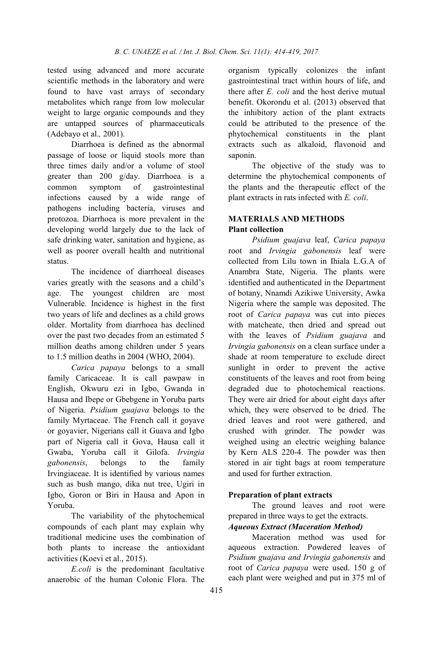tested using advanced and more accurate scientific methods in the laboratory and were found to have vast arrays of secondary metabolites which range from low molecular weight to large organic compounds and they are untapped sources of pharmaceuticals (Adebayo et al.*,* 2001).

Diarrhoea is defined as the abnormal passage of loose or liquid stools more than three times daily and/or a volume of stool greater than 200 g/day. Diarrhoea is a common symptom of gastrointestinal infections caused by a wide range of pathogens including bacteria, viruses and protozoa. Diarrhoea is more prevalent in the developing world largely due to the lack of safe drinking water, sanitation and hygiene, as well as poorer overall health and nutritional status.

The incidence of diarrhoeal diseases varies greatly with the seasons and a child's age. The youngest children are most Vulnerable. Incidence is highest in the first two years of life and declines as a child grows older. Mortality from diarrhoea has declined over the past two decades from an estimated 5 million deaths among children under 5 years to 1.5 million deaths in 2004 (WHO, 2004).

*Carica papaya* belongs to a small family Caricaceae. It is call pawpaw in English, Okwuru ezi in Igbo, Gwanda in Hausa and Ibepe or Gbebgene in Yoruba parts of Nigeria. *Psidium guajava* belongs to the family Myrtaceae. The French call it goyave or goyavier, Nigerians call it Guava and Igbo part of Nigeria call it Gova, Hausa call it Gwaba, Yoruba call it Gilofa. *Irvingia gabonensis*, belongs to the family Irvingiaceae. It is identified by various names such as bush mango, dika nut tree, Ugiri in Igbo, Goron or Biri in Hausa and Apon in Yoruba.

The variability of the phytochemical compounds of each plant may explain why traditional medicine uses the combination of both plants to increase the antioxidant activities (Koevi et al., 2015).

*E.coli* is the predominant facultative anaerobic of the human Colonic Flora. The

organism typically colonizes the infant gastrointestinal tract within hours of life, and there after *E. coli* and the host derive mutual benefit. Okorondu et al. (2013) observed that the inhibitory action of the plant extracts could be attributed to the presence of the phytochemical constituents in the plant extracts such as alkaloid, flavonoid and saponin.

The objective of the study was to determine the phytochemical components of the plants and the therapeutic effect of the plant extracts in rats infected with *E. coli*.

## MATERIALS AND METHODS Plant collection

*Psidium guajava* leaf, *Carica papaya* root and *Irvingia gabonensis* leaf were collected from Lilu town in Ihiala L.G.A of Anambra State, Nigeria. The plants were identified and authenticated in the Department of botany, Nnamdi Azikiwe University, Awka Nigeria where the sample was deposited. The root of *Carica papaya* was cut into pieces with matcheate, then dried and spread out with the leaves of *Psidium guajava* and *Irvingia gabonensis* on a clean surface under a shade at room temperature to exclude direct sunlight in order to prevent the active constituents of the leaves and root from being degraded due to photochemical reactions. They were air dried for about eight days after which, they were observed to be dried. The dried leaves and root were gathered, and crushed with grinder. The powder was weighed using an electric weighing balance by Kern ALS 220-4. The powder was then stored in air tight bags at room temperature and used for further extraction.

## Preparation of plant extracts

The ground leaves and root were prepared in three ways to get the extracts.

## *Aqueous Extract (Maceration Method)*

Maceration method was used for aqueous extraction. Powdered leaves of *Psidium guajava and Irvingia gabonensis* and root of *Carica papaya* were used. 150 g of each plant were weighed and put in 375 ml of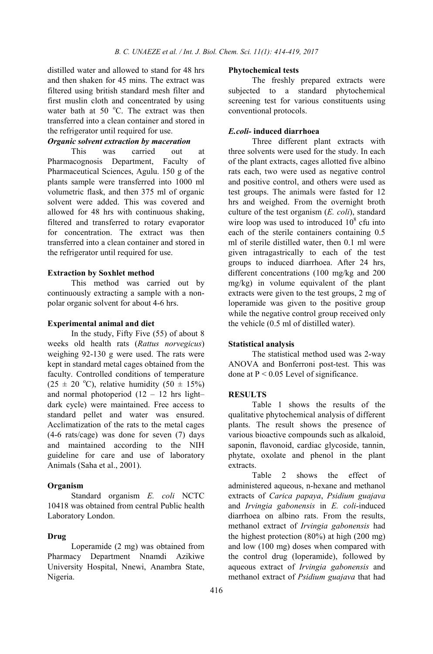distilled water and allowed to stand for 48 hrs and then shaken for 45 mins. The extract was filtered using british standard mesh filter and first muslin cloth and concentrated by using water bath at 50 $^{\circ}$ C. The extract was then transferred into a clean container and stored in the refrigerator until required for use.

## *Organic solvent extraction by maceration*

This was carried out at Pharmacognosis Department, Faculty of Pharmaceutical Sciences, Agulu. 150 g of the plants sample were transferred into 1000 ml volumetric flask, and then 375 ml of organic solvent were added. This was covered and allowed for 48 hrs with continuous shaking, filtered and transferred to rotary evaporator for concentration. The extract was then transferred into a clean container and stored in the refrigerator until required for use.

#### Extraction by Soxhlet method

This method was carried out by continuously extracting a sample with a nonpolar organic solvent for about 4-6 hrs.

### Experimental animal and diet

In the study, Fifty Five (55) of about 8 weeks old health rats (*Rattus norvegicus*) weighing 92-130 g were used. The rats were kept in standard metal cages obtained from the faculty. Controlled conditions of temperature  $(25 \pm 20$  °C), relative humidity  $(50 \pm 15\%)$ and normal photoperiod  $(12 - 12)$  hrs light– dark cycle) were maintained. Free access to standard pellet and water was ensured. Acclimatization of the rats to the metal cages (4-6 rats/cage) was done for seven (7) days and maintained according to the NIH guideline for care and use of laboratory Animals (Saha et al., 2001).

### Organism

Standard organism *E. coli* NCTC 10418 was obtained from central Public health Laboratory London.

## Drug

Loperamide (2 mg) was obtained from Pharmacy Department Nnamdi Azikiwe University Hospital, Nnewi, Anambra State, Nigeria.

#### Phytochemical tests

The freshly prepared extracts were subjected to a standard phytochemical screening test for various constituents using conventional protocols.

## *E.coli-* induced diarrhoea

Three different plant extracts with three solvents were used for the study. In each of the plant extracts, cages allotted five albino rats each, two were used as negative control and positive control, and others were used as test groups. The animals were fasted for 12 hrs and weighed. From the overnight broth culture of the test organism (*E. coli*), standard wire loop was used to introduced  $10^8$  cfu into each of the sterile containers containing 0.5 ml of sterile distilled water, then 0.1 ml were given intragastrically to each of the test groups to induced diarrhoea. After 24 hrs, different concentrations (100 mg/kg and 200 mg/kg) in volume equivalent of the plant extracts were given to the test groups, 2 mg of loperamide was given to the positive group while the negative control group received only the vehicle (0.5 ml of distilled water).

#### Statistical analysis

The statistical method used was 2-way ANOVA and Bonferroni post-test. This was done at  $P < 0.05$  Level of significance.

#### RESULTS

Table 1 shows the results of the qualitative phytochemical analysis of different plants. The result shows the presence of various bioactive compounds such as alkaloid, saponin, flavonoid, cardiac glycoside, tannin, phytate, oxolate and phenol in the plant extracts.

Table 2 shows the effect of administered aqueous, n-hexane and methanol extracts of *Carica papaya*, *Psidium guajava* and *Irvingia gabonensis* in *E. coli*-induced diarrhoea on albino rats. From the results, methanol extract of *Irvingia gabonensis* had the highest protection (80%) at high (200 mg) and low (100 mg) doses when compared with the control drug (loperamide), followed by aqueous extract of *Irvingia gabonensis* and methanol extract of *Psidium guajava* that had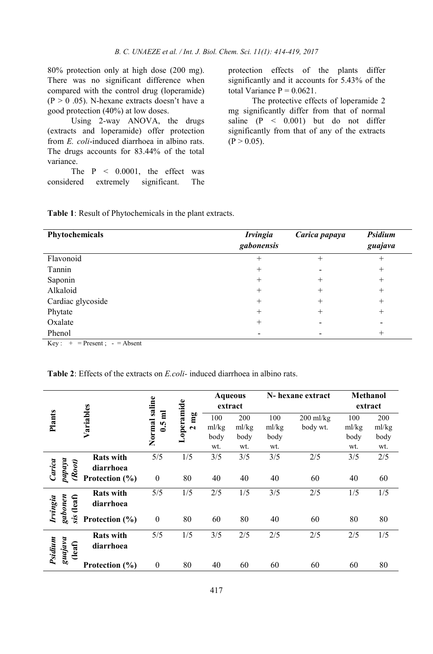80% protection only at high dose (200 mg). There was no significant difference when compared with the control drug (loperamide)  $(P > 0.05)$ . N-hexane extracts doesn't have a good protection (40%) at low doses.

Using 2-way ANOVA, the drugs (extracts and loperamide) offer protection from *E. coli*-induced diarrhoea in albino rats. The drugs accounts for 83.44% of the total variance.

The  $P \leq 0.0001$ , the effect was considered extremely significant. The protection effects of the plants differ significantly and it accounts for 5.43% of the total Variance  $P = 0.0621$ .

The protective effects of loperamide 2 mg significantly differ from that of normal saline (P < 0.001) but do not differ significantly from that of any of the extracts  $(P > 0.05)$ .

| Phytochemicals                                                      | <b>Irvingia</b><br>gabonensis | Carica papaya | Psidium<br>guajava       |
|---------------------------------------------------------------------|-------------------------------|---------------|--------------------------|
| Flavonoid                                                           | $^{+}$                        | $^{+}$        | $^{+}$                   |
| Tannin                                                              | $^{+}$                        |               | $^{+}$                   |
| Saponin                                                             | $^{+}$                        | $^{+}$        | $^{+}$                   |
| Alkaloid                                                            | $^+$                          | $^{+}$        | $^{+}$                   |
| Cardiac glycoside                                                   | $^{+}$                        | $^{+}$        | $^{+}$                   |
| Phytate                                                             | $^{+}$                        | $^+$          | $^{+}$                   |
| Oxalate                                                             | $^{+}$                        |               | $\overline{\phantom{0}}$ |
| Phenol<br>$\mathbf{v}$ and $\mathbf{v}$ are the set of $\mathbf{v}$ |                               |               | $^+$                     |

 $Key: + = Present; - = Absent$ 

Table 2: Effects of the extracts on *E.coli-* induced diarrhoea in albino rats.

|                     |                         | saline           | operamide      | <b>Aqueous</b> |       | N-hexane extract |             | <b>Methanol</b> |         |
|---------------------|-------------------------|------------------|----------------|----------------|-------|------------------|-------------|-----------------|---------|
|                     |                         |                  |                | extract        |       |                  |             |                 | extract |
| Plants              | Variables               | $0.5$ ml         | $2 \text{ mg}$ | 100            | 200   | 100              | $200$ ml/kg | 100             | 200     |
|                     |                         | Normal           |                | ml/kg          | ml/kg | ml/kg            | body wt.    | ml/kg           | ml/kg   |
|                     |                         |                  |                | body           | body  | body             |             | body            | body    |
|                     |                         |                  |                | wt.            | wt.   | wt.              |             | wt.             | wt.     |
|                     | <b>Rats with</b>        | 5/5              | 1/5            | 3/5            | 3/5   | 3/5              | 2/5         | 3/5             | 2/5     |
| Carica              | (Root)<br>diarrhoea     |                  |                |                |       |                  |             |                 |         |
| $p$ apaya           | Protection (%)          | $\theta$         | 80             | 40             | 40    | 40               | 60          | 40              | 60      |
|                     | <b>Rats with</b>        | 5/5              | 1/5            | 2/5            | 1/5   | 3/5              | 2/5         | 1/5             | 1/5     |
| gabonen<br>Irvingia | sis (leaf)<br>diarrhoea |                  |                |                |       |                  |             |                 |         |
|                     | Protection $(\% )$      | $\boldsymbol{0}$ | 80             | 60             | 80    | 40               | 60          | 80              | 80      |
|                     | <b>Rats with</b>        | 5/5              | 1/5            | 3/5            | 2/5   | 2/5              | 2/5         | 2/5             | 1/5     |
| Psidium<br>guajava  | (leaf)<br>diarrhoea     |                  |                |                |       |                  |             |                 |         |
|                     | Protection (%)          | $\mathbf{0}$     | 80             | 40             | 60    | 60               | 60          | 60              | 80      |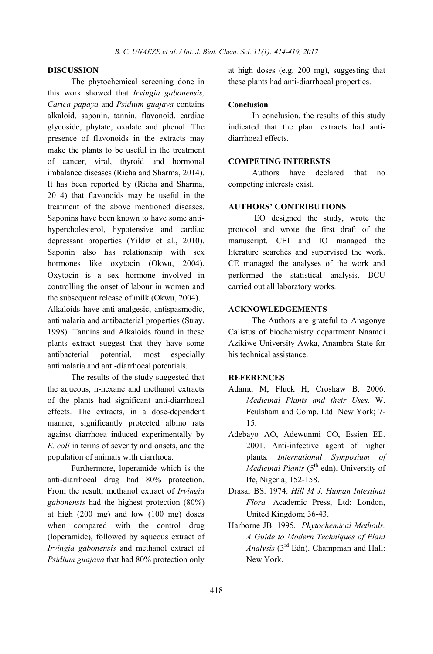## DISCUSSION

The phytochemical screening done in this work showed that *Irvingia gabonensis, Carica papaya* and *Psidium guajava* contains alkaloid, saponin, tannin, flavonoid, cardiac glycoside, phytate, oxalate and phenol. The presence of flavonoids in the extracts may make the plants to be useful in the treatment of cancer, viral, thyroid and hormonal imbalance diseases (Richa and Sharma, 2014). It has been reported by (Richa and Sharma, 2014) that flavonoids may be useful in the treatment of the above mentioned diseases. Saponins have been known to have some antihypercholesterol, hypotensive and cardiac depressant properties (Yildiz et al., 2010). Saponin also has relationship with sex hormones like oxytocin (Okwu, 2004). Oxytocin is a sex hormone involved in controlling the onset of labour in women and the subsequent release of milk (Okwu, 2004). Alkaloids have anti-analgesic, antispasmodic, antimalaria and antibacterial properties (Stray, 1998). Tannins and Alkaloids found in these

plants extract suggest that they have some antibacterial potential, most especially antimalaria and anti-diarrhoeal potentials.

The results of the study suggested that the aqueous, n-hexane and methanol extracts of the plants had significant anti-diarrhoeal effects. The extracts, in a dose-dependent manner, significantly protected albino rats against diarrhoea induced experimentally by *E. coli* in terms of severity and onsets, and the population of animals with diarrhoea.

Furthermore, loperamide which is the anti-diarrhoeal drug had 80% protection. From the result, methanol extract of *Irvingia gabonensis* had the highest protection (80%) at high (200 mg) and low (100 mg) doses when compared with the control drug (loperamide), followed by aqueous extract of *Irvingia gabonensis* and methanol extract of *Psidium guajava* that had 80% protection only

at high doses (e.g. 200 mg), suggesting that these plants had anti-diarrhoeal properties.

#### Conclusion

In conclusion, the results of this study indicated that the plant extracts had antidiarrhoeal effects.

## COMPETING INTERESTS

Authors have declared that no competing interests exist.

### AUTHORS' CONTRIBUTIONS

EO designed the study, wrote the protocol and wrote the first draft of the manuscript. CEI and IO managed the literature searches and supervised the work. CE managed the analyses of the work and performed the statistical analysis. BCU carried out all laboratory works.

## ACKNOWLEDGEMENTS

The Authors are grateful to Anagonye Calistus of biochemistry department Nnamdi Azikiwe University Awka, Anambra State for his technical assistance.

## **REFERENCES**

- Adamu M, Fluck H, Croshaw B. 2006. *Medicinal Plants and their Uses*. W. Feulsham and Comp. Ltd: New York; 7- 15.
- Adebayo AO, Adewunmi CO, Essien EE. 2001. Anti-infective agent of higher plants*. International Symposium of Medicinal Plants* (5<sup>th</sup> edn). University of Ife, Nigeria; 152-158.
- Drasar BS. 1974. *Hill M J. Human Intestinal Flora.* Academic Press, Ltd: London, United Kingdom; 36-43.
- Harborne JB. 1995. *Phytochemical Methods. A Guide to Modern Techniques of Plant Analysis* (3rd Edn). Champman and Hall: New York.